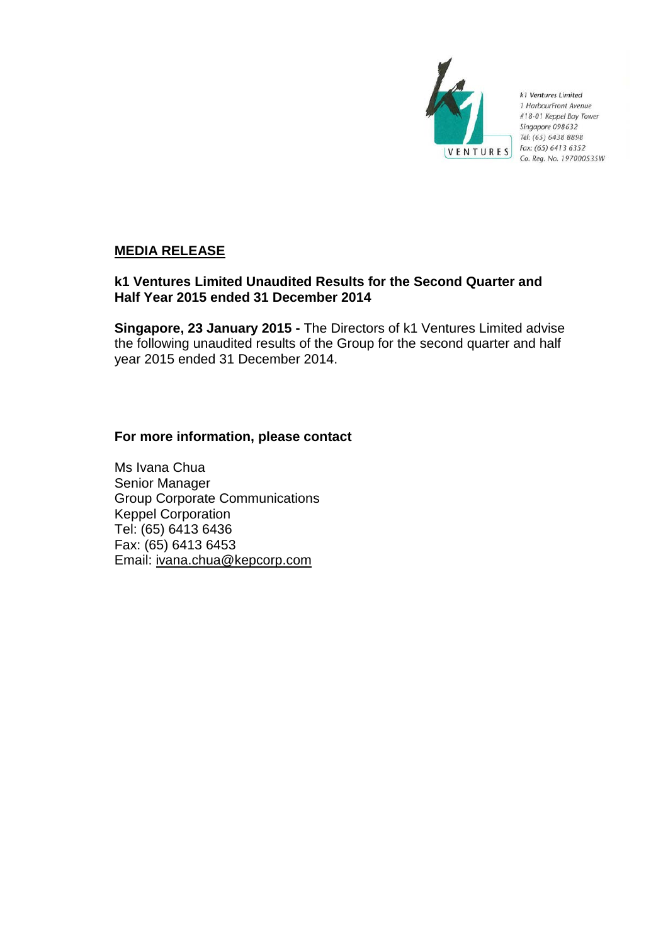

k1 Ventures Limited 1 HarbourFront Avenue #18-01 Keppel Bay Tower Singapore 098632 Tel: (65) 6438 8898 Fax: (65) 6413 6352 Co. Reg. No. 197000535W

# **MEDIA RELEASE**

# **k1 Ventures Limited Unaudited Results for the Second Quarter and Half Year 2015 ended 31 December 2014**

**Singapore, 23 January 2015 -** The Directors of k1 Ventures Limited advise the following unaudited results of the Group for the second quarter and half year 2015 ended 31 December 2014.

# **For more information, please contact**

Ms Ivana Chua Senior Manager Group Corporate Communications Keppel Corporation Tel: (65) 6413 6436 Fax: (65) 6413 6453 Email: ivana.chua@kepcorp.com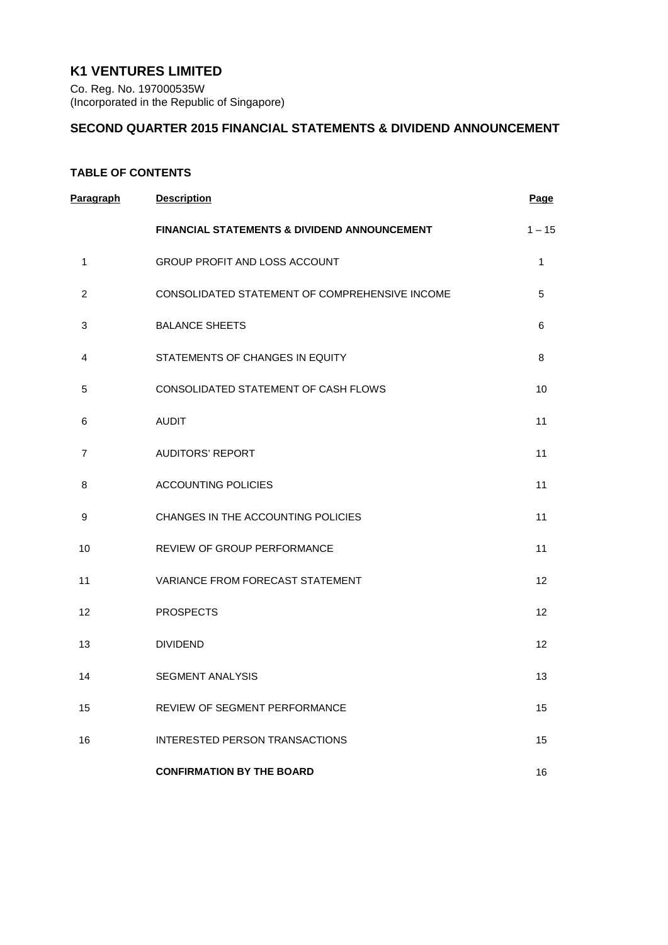# **K1 VENTURES LIMITED**

Co. Reg. No. 197000535W (Incorporated in the Republic of Singapore)

## **SECOND QUARTER 2015 FINANCIAL STATEMENTS & DIVIDEND ANNOUNCEMENT**

## **TABLE OF CONTENTS**

| <b>Paragraph</b> | <b>Description</b>                             | <b>Page</b>  |
|------------------|------------------------------------------------|--------------|
|                  | FINANCIAL STATEMENTS & DIVIDEND ANNOUNCEMENT   | $1 - 15$     |
| 1                | GROUP PROFIT AND LOSS ACCOUNT                  | $\mathbf{1}$ |
| $\overline{2}$   | CONSOLIDATED STATEMENT OF COMPREHENSIVE INCOME | 5            |
| 3                | <b>BALANCE SHEETS</b>                          | 6            |
| 4                | STATEMENTS OF CHANGES IN EQUITY                | 8            |
| 5                | CONSOLIDATED STATEMENT OF CASH FLOWS           | 10           |
| 6                | <b>AUDIT</b>                                   | 11           |
| 7                | <b>AUDITORS' REPORT</b>                        | 11           |
| 8                | <b>ACCOUNTING POLICIES</b>                     | 11           |
| 9                | CHANGES IN THE ACCOUNTING POLICIES             | 11           |
| 10               | REVIEW OF GROUP PERFORMANCE                    | 11           |
| 11               | VARIANCE FROM FORECAST STATEMENT               | 12           |
| 12               | <b>PROSPECTS</b>                               | 12           |
| 13               | <b>DIVIDEND</b>                                | 12           |
| 14               | <b>SEGMENT ANALYSIS</b>                        | 13           |
| 15               | REVIEW OF SEGMENT PERFORMANCE                  | 15           |
| 16               | <b>INTERESTED PERSON TRANSACTIONS</b>          | 15           |
|                  | <b>CONFIRMATION BY THE BOARD</b>               | 16           |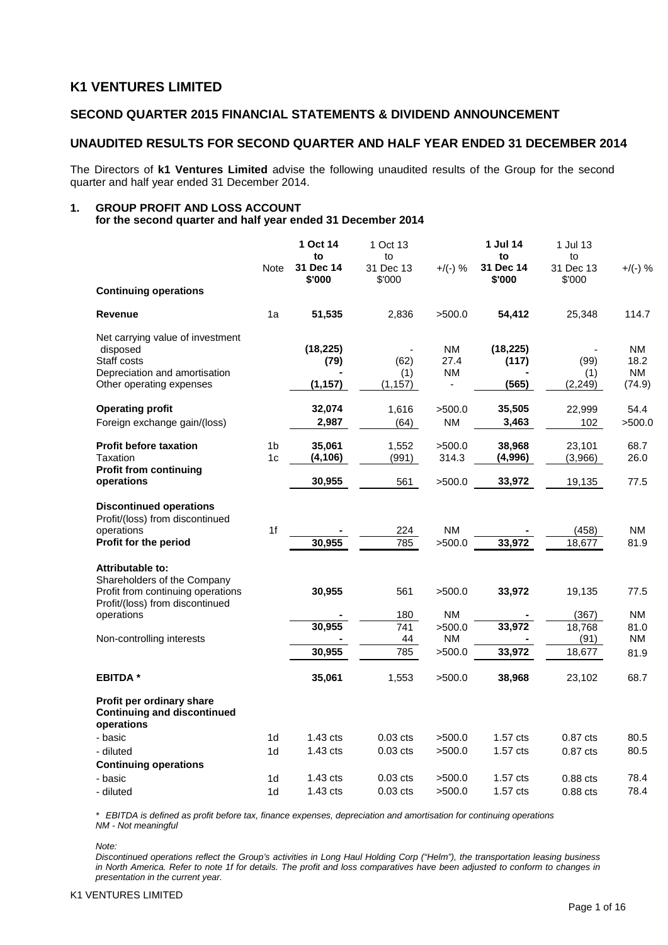## **K1 VENTURES LIMITED**

### **SECOND QUARTER 2015 FINANCIAL STATEMENTS & DIVIDEND ANNOUNCEMENT**

### **UNAUDITED RESULTS FOR SECOND QUARTER AND HALF YEAR ENDED 31 DECEMBER 2014**

The Directors of **k1 Ventures Limited** advise the following unaudited results of the Group for the second quarter and half year ended 31 December 2014.

#### **1. GROUP PROFIT AND LOSS ACCOUNT for the second quarter and half year ended 31 December 2014**

|                                                                                                                                              |                                  | 1 Oct 14<br>to                           | 1 Oct 13<br>to                |                                | 1 Jul 14<br>to              | 1 Jul 13<br>to           |                                    |
|----------------------------------------------------------------------------------------------------------------------------------------------|----------------------------------|------------------------------------------|-------------------------------|--------------------------------|-----------------------------|--------------------------|------------------------------------|
|                                                                                                                                              | <b>Note</b>                      | 31 Dec 14<br>\$'000                      | 31 Dec 13<br>\$'000           | $+$ /(-) %                     | 31 Dec 14<br>\$'000         | 31 Dec 13<br>\$'000      | $+$ /(-) %                         |
| <b>Continuing operations</b>                                                                                                                 |                                  |                                          |                               |                                |                             |                          |                                    |
| <b>Revenue</b>                                                                                                                               | 1a                               | 51,535                                   | 2,836                         | >500.0                         | 54,412                      | 25,348                   | 114.7                              |
| Net carrying value of investment<br>disposed<br>Staff costs<br>Depreciation and amortisation<br>Other operating expenses                     |                                  | (18, 225)<br>(79)<br>(1, 157)            | (62)<br>(1)<br>(1, 157)       | <b>NM</b><br>27.4<br><b>NM</b> | (18, 225)<br>(117)<br>(565) | (99)<br>(1)<br>(2, 249)  | NM.<br>18.2<br><b>NM</b><br>(74.9) |
| <b>Operating profit</b><br>Foreign exchange gain/(loss)                                                                                      |                                  | 32,074<br>2,987                          | 1,616<br>(64)                 | >500.0<br><b>NM</b>            | 35,505<br>3,463             | 22,999<br>102            | 54.4<br>>500.0                     |
| <b>Profit before taxation</b><br>Taxation<br><b>Profit from continuing</b>                                                                   | 1 <sub>b</sub><br>1 <sub>c</sub> | 35,061<br>(4, 106)                       | 1,552<br>(991)                | >500.0<br>314.3                | 38,968<br>(4,996)           | 23,101<br>(3,966)        | 68.7<br>26.0                       |
| operations                                                                                                                                   |                                  | 30,955                                   | 561                           | >500.0                         | 33,972                      | 19,135                   | 77.5                               |
| <b>Discontinued operations</b><br>Profit/(loss) from discontinued<br>operations<br>Profit for the period                                     | 1f                               | 30,955                                   | 224<br>785                    | <b>NM</b><br>>500.0            | 33,972                      | (458)<br>18,677          | <b>NM</b><br>81.9                  |
| <b>Attributable to:</b><br>Shareholders of the Company<br>Profit from continuing operations<br>Profit/(loss) from discontinued<br>operations |                                  | 30,955                                   | 561<br>180                    | >500.0<br><b>NM</b>            | 33,972                      | 19,135<br>(367)          | 77.5<br><b>NM</b>                  |
| Non-controlling interests                                                                                                                    |                                  | 30,955<br>30,955                         | $\overline{741}$<br>44<br>785 | >500.0<br><b>NM</b><br>>500.0  | 33,972<br>33,972            | 18,768<br>(91)<br>18,677 | 81.0<br>NM.<br>81.9                |
| <b>EBITDA*</b>                                                                                                                               |                                  | 35,061                                   | 1,553                         | >500.0                         | 38,968                      | 23,102                   | 68.7                               |
| Profit per ordinary share<br><b>Continuing and discontinued</b><br>operations                                                                |                                  |                                          |                               |                                |                             |                          |                                    |
| - basic<br>- diluted                                                                                                                         | 1 <sub>d</sub><br>1 <sub>d</sub> | $1.43 \text{ cts}$<br>$1.43 \text{ cts}$ | $0.03$ cts<br>$0.03$ cts      | >500.0<br>>500.0               | 1.57 cts<br>1.57 cts        | $0.87$ cts<br>$0.87$ cts | 80.5<br>80.5                       |
| <b>Continuing operations</b><br>- basic<br>- diluted                                                                                         | 1 <sub>d</sub><br>1 <sub>d</sub> | $1.43$ cts<br>$1.43$ cts                 | $0.03$ cts<br>$0.03$ cts      | >500.0<br>>500.0               | 1.57 cts<br>1.57 cts        | $0.88$ cts<br>$0.88$ cts | 78.4<br>78.4                       |

*\* EBITDA is defined as profit before tax, finance expenses, depreciation and amortisation for continuing operations NM - Not meaningful*

*Note:*

*Discontinued operations reflect the Group's activities in Long Haul Holding Corp ("Helm"), the transportation leasing business in North America. Refer to note 1f for details. The profit and loss comparatives have been adjusted to conform to changes in presentation in the current year.*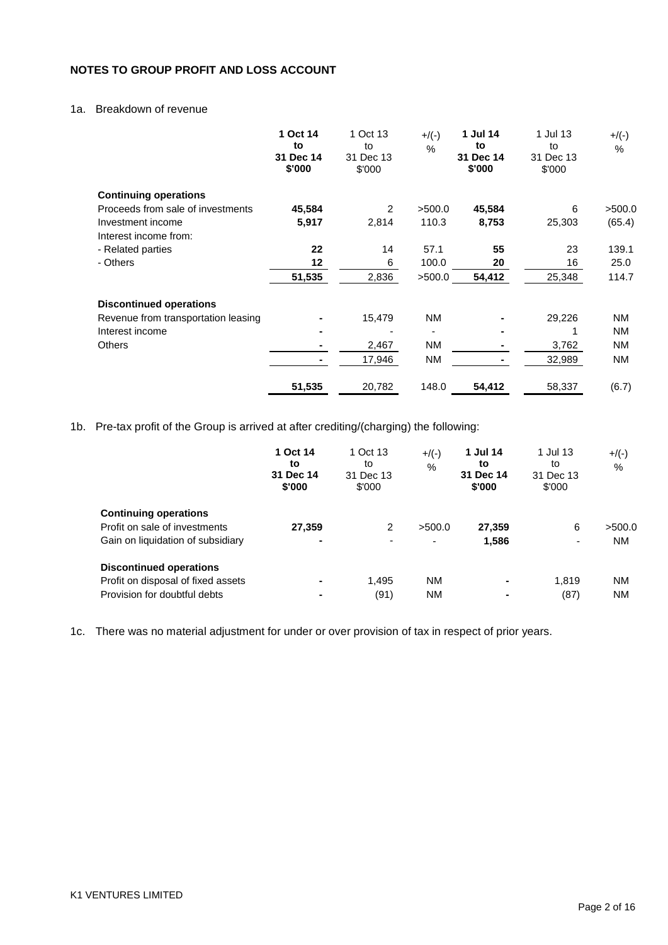## **NOTES TO GROUP PROFIT AND LOSS ACCOUNT**

## 1a. Breakdown of revenue

|                                     | 1 Oct 14<br>to<br>31 Dec 14<br>\$'000 | 1 Oct 13<br>to<br>31 Dec 13<br>\$'000 | $+/(-)$<br>$\%$ | 1 Jul 14<br>to<br>31 Dec 14<br>\$'000 | 1 Jul 13<br>to<br>31 Dec 13<br>\$'000 | $+$ /(-)<br>$\frac{0}{0}$ |
|-------------------------------------|---------------------------------------|---------------------------------------|-----------------|---------------------------------------|---------------------------------------|---------------------------|
| <b>Continuing operations</b>        |                                       |                                       |                 |                                       |                                       |                           |
| Proceeds from sale of investments   | 45,584                                | 2                                     | >500.0          | 45,584                                | 6                                     | >500.0                    |
| Investment income                   | 5,917                                 | 2,814                                 | 110.3           | 8,753                                 | 25,303                                | (65.4)                    |
| Interest income from:               |                                       |                                       |                 |                                       |                                       |                           |
| - Related parties                   | 22                                    | 14                                    | 57.1            | 55                                    | 23                                    | 139.1                     |
| - Others                            | 12                                    | 6                                     | 100.0           | 20                                    | 16                                    | 25.0                      |
|                                     | 51,535                                | 2,836                                 | >500.0          | 54,412                                | 25,348                                | 114.7                     |
| <b>Discontinued operations</b>      |                                       |                                       |                 |                                       |                                       |                           |
| Revenue from transportation leasing |                                       | 15,479                                | <b>NM</b>       |                                       | 29,226                                | ΝM                        |
| Interest income                     |                                       |                                       |                 |                                       |                                       | <b>NM</b>                 |
| <b>Others</b>                       |                                       | 2,467                                 | <b>NM</b>       |                                       | 3,762                                 | <b>NM</b>                 |
|                                     |                                       | 17,946                                | ΝM              |                                       | 32,989                                | <b>NM</b>                 |
|                                     | 51,535                                | 20,782                                | 148.0           | 54,412                                | 58,337                                | (6.7)                     |

1b. Pre-tax profit of the Group is arrived at after crediting/(charging) the following:

|                                                                                                      | 1 Oct 14<br>to<br>31 Dec 14<br>\$'000 | 1 Oct 13<br>to<br>31 Dec 13<br>\$'000 | $+$ /(-)<br>%                      | 1 Jul 14<br>to<br>31 Dec 14<br>\$'000 | 1 Jul 13<br>to<br>31 Dec 13<br>\$'000 | $+$ /(-)<br>%       |
|------------------------------------------------------------------------------------------------------|---------------------------------------|---------------------------------------|------------------------------------|---------------------------------------|---------------------------------------|---------------------|
| <b>Continuing operations</b><br>Profit on sale of investments<br>Gain on liquidation of subsidiary   | 27.359<br>۰                           | 2<br>$\overline{\phantom{0}}$         | >500.0<br>$\overline{\phantom{a}}$ | 27,359<br>1,586                       | 6<br>٠                                | >500.0<br><b>NM</b> |
| <b>Discontinued operations</b><br>Profit on disposal of fixed assets<br>Provision for doubtful debts | ۰                                     | 1.495<br>(91)                         | ΝM<br>ΝM                           | $\blacksquare$<br>$\blacksquare$      | 1.819<br>(87)                         | NM<br>NM            |

1c. There was no material adjustment for under or over provision of tax in respect of prior years.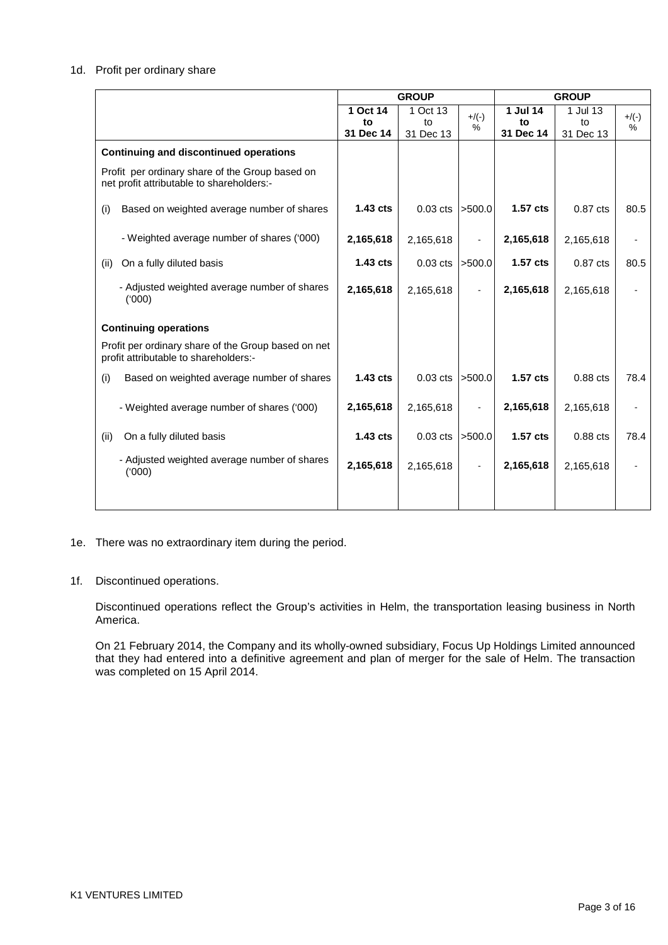#### 1d. Profit per ordinary share

|                                                                                              | <b>GROUP</b> |            |                 | <b>GROUP</b> |            |              |
|----------------------------------------------------------------------------------------------|--------------|------------|-----------------|--------------|------------|--------------|
|                                                                                              | 1 Oct 14     | 1 Oct 13   |                 | 1 Jul 14     | 1 Jul 13   |              |
|                                                                                              | to           | to         | $+/(-)$<br>$\%$ | to           | to         | $+/(-)$<br>% |
|                                                                                              | 31 Dec 14    | 31 Dec 13  |                 | 31 Dec 14    | 31 Dec 13  |              |
| <b>Continuing and discontinued operations</b>                                                |              |            |                 |              |            |              |
| Profit per ordinary share of the Group based on<br>net profit attributable to shareholders:- |              |            |                 |              |            |              |
| Based on weighted average number of shares<br>(i)                                            | 1.43 cts     | $0.03$ cts | >500.0          | 1.57 cts     | 0.87 cts   | 80.5         |
| - Weighted average number of shares ('000)                                                   | 2,165,618    | 2,165,618  |                 | 2,165,618    | 2,165,618  |              |
| On a fully diluted basis<br>(ii)                                                             | $1.43$ cts   | $0.03$ cts | >500.0          | 1.57 cts     | 0.87 cts   | 80.5         |
| - Adjusted weighted average number of shares<br>(000)                                        | 2,165,618    | 2,165,618  |                 | 2,165,618    | 2,165,618  |              |
| <b>Continuing operations</b>                                                                 |              |            |                 |              |            |              |
| Profit per ordinary share of the Group based on net<br>profit attributable to shareholders:- |              |            |                 |              |            |              |
| Based on weighted average number of shares<br>(i)                                            | $1.43$ cts   | $0.03$ cts | >500.0          | $1.57$ cts   | $0.88$ cts | 78.4         |
| - Weighted average number of shares ('000)                                                   | 2,165,618    | 2,165,618  |                 | 2,165,618    | 2,165,618  |              |
| On a fully diluted basis<br>(ii)                                                             | $1.43$ cts   | $0.03$ cts | >500.0          | 1.57 cts     | $0.88$ cts | 78.4         |
| - Adjusted weighted average number of shares<br>(000)                                        | 2,165,618    | 2,165,618  |                 | 2,165,618    | 2,165,618  |              |
|                                                                                              |              |            |                 |              |            |              |

- 1e. There was no extraordinary item during the period.
- 1f. Discontinued operations.

Discontinued operations reflect the Group's activities in Helm, the transportation leasing business in North America.

On 21 February 2014, the Company and its wholly-owned subsidiary, Focus Up Holdings Limited announced that they had entered into a definitive agreement and plan of merger for the sale of Helm. The transaction was completed on 15 April 2014.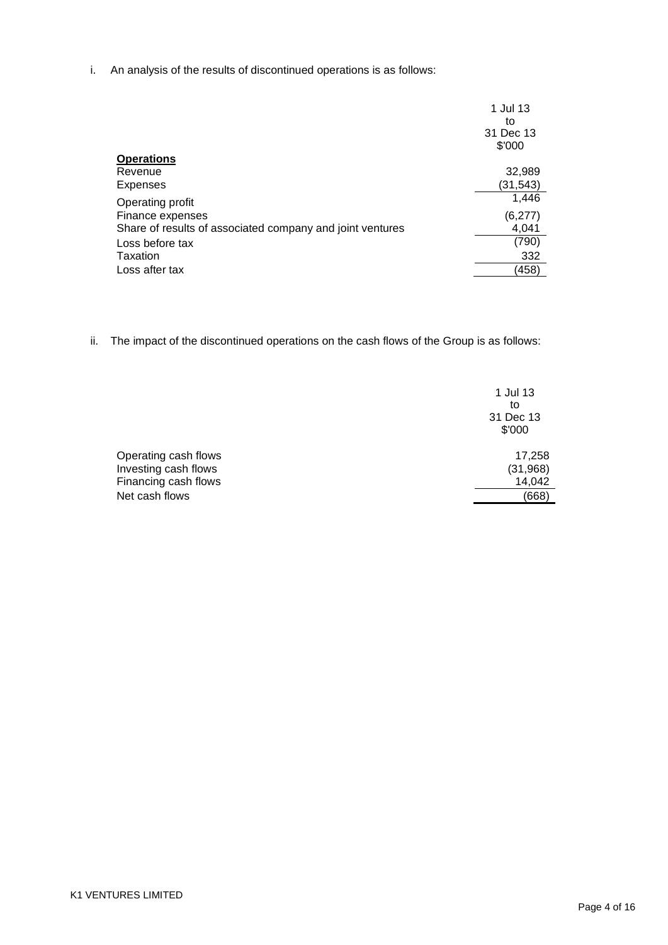i. An analysis of the results of discontinued operations is as follows:

|                                                           | 1 Jul 13<br>to<br>31 Dec 13<br>\$'000 |
|-----------------------------------------------------------|---------------------------------------|
| <b>Operations</b>                                         |                                       |
| Revenue                                                   | 32,989                                |
| Expenses                                                  | (31,543)                              |
| Operating profit                                          | 1,446                                 |
| Finance expenses                                          | (6, 277)                              |
| Share of results of associated company and joint ventures | 4,041                                 |
| Loss before tax                                           | (790)                                 |
| Taxation                                                  | 332                                   |
| Loss after tax                                            | (458)                                 |

ii. The impact of the discontinued operations on the cash flows of the Group is as follows:

|                      | 1 Jul 13<br>to<br>31 Dec 13<br>\$'000 |
|----------------------|---------------------------------------|
| Operating cash flows | 17,258                                |
| Investing cash flows | (31, 968)                             |
| Financing cash flows | 14,042                                |
| Net cash flows       | (668)                                 |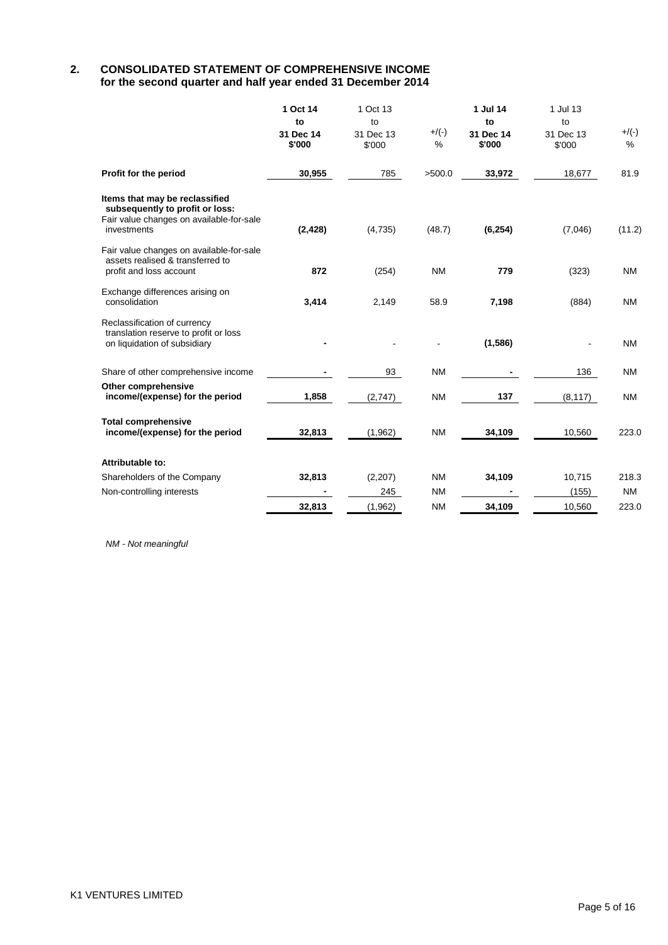### **2. CONSOLIDATED STATEMENT OF COMPREHENSIVE INCOME for the second quarter and half year ended 31 December 2014**

|                                                                                                                              | 1 Oct 14<br>to<br>31 Dec 14<br>\$'000 | 1 Oct 13<br>to<br>31 Dec 13<br>\$'000 | $+/(-)$<br>% | 1 Jul 14<br>to<br>31 Dec 14<br>\$'000 | 1 Jul 13<br>to<br>31 Dec 13<br>\$'000 | $+/(-)$<br>$\%$ |
|------------------------------------------------------------------------------------------------------------------------------|---------------------------------------|---------------------------------------|--------------|---------------------------------------|---------------------------------------|-----------------|
| Profit for the period                                                                                                        | 30,955                                | 785                                   | >500.0       | 33,972                                | 18,677                                | 81.9            |
| Items that may be reclassified<br>subsequently to profit or loss:<br>Fair value changes on available-for-sale<br>investments | (2, 428)                              | (4,735)                               | (48.7)       | (6, 254)                              | (7,046)                               | (11.2)          |
| Fair value changes on available-for-sale<br>assets realised & transferred to<br>profit and loss account                      | 872                                   | (254)                                 | <b>NM</b>    | 779                                   | (323)                                 | <b>NM</b>       |
| Exchange differences arising on<br>consolidation                                                                             | 3,414                                 | 2,149                                 | 58.9         | 7,198                                 | (884)                                 | <b>NM</b>       |
| Reclassification of currency<br>translation reserve to profit or loss<br>on liquidation of subsidiary                        |                                       |                                       |              | (1, 586)                              |                                       | <b>NM</b>       |
| Share of other comprehensive income                                                                                          |                                       | 93                                    | <b>NM</b>    |                                       | 136                                   | <b>NM</b>       |
| Other comprehensive<br>income/(expense) for the period                                                                       | 1,858                                 | (2,747)                               | <b>NM</b>    | 137                                   | (8, 117)                              | <b>NM</b>       |
| <b>Total comprehensive</b><br>income/(expense) for the period                                                                | 32,813                                | (1,962)                               | <b>NM</b>    | 34,109                                | 10,560                                | 223.0           |
| Attributable to:                                                                                                             |                                       |                                       |              |                                       |                                       |                 |
| Shareholders of the Company                                                                                                  | 32,813                                | (2,207)                               | <b>NM</b>    | 34,109                                | 10,715                                | 218.3           |
| Non-controlling interests                                                                                                    |                                       | 245                                   | <b>NM</b>    |                                       | (155)                                 | <b>NM</b>       |
|                                                                                                                              | 32,813                                | (1, 962)                              | <b>NM</b>    | 34,109                                | 10,560                                | 223.0           |

*NM - Not meaningful*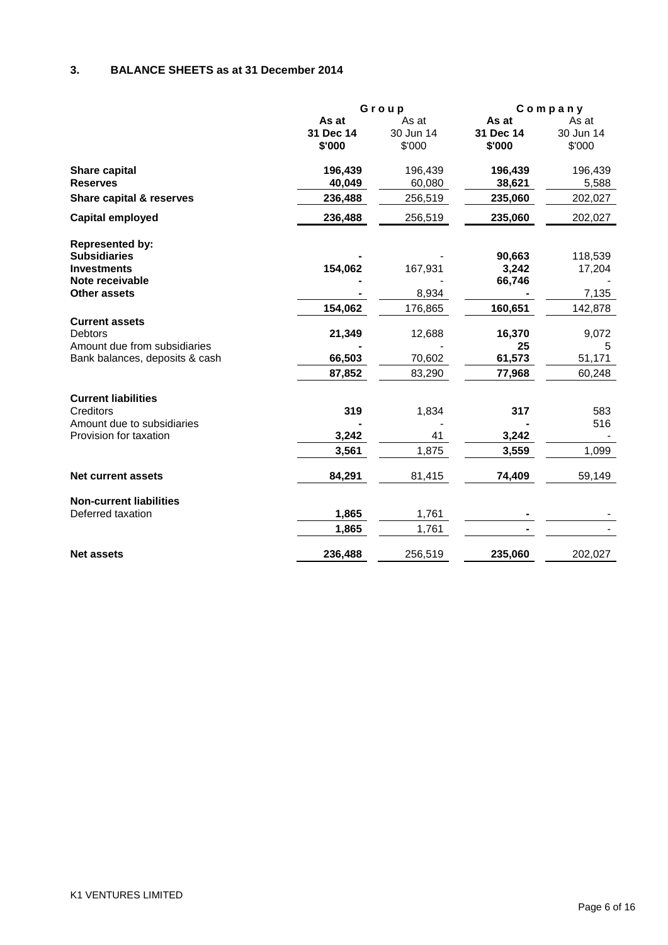## **3. BALANCE SHEETS as at 31 December 2014**

|                                |           | Group     |           | Company   |
|--------------------------------|-----------|-----------|-----------|-----------|
|                                | As at     | As at     | As at     | As at     |
|                                | 31 Dec 14 | 30 Jun 14 | 31 Dec 14 | 30 Jun 14 |
|                                | \$'000    | \$'000    | \$'000    | \$'000    |
| Share capital                  | 196,439   | 196,439   | 196,439   | 196,439   |
| <b>Reserves</b>                | 40,049    | 60,080    | 38,621    | 5,588     |
| Share capital & reserves       | 236,488   | 256,519   | 235,060   | 202,027   |
| Capital employed               | 236,488   | 256,519   | 235,060   | 202,027   |
| <b>Represented by:</b>         |           |           |           |           |
| <b>Subsidiaries</b>            |           |           | 90,663    | 118,539   |
| <b>Investments</b>             | 154,062   | 167,931   | 3,242     | 17,204    |
| Note receivable                |           |           | 66,746    |           |
| <b>Other assets</b>            |           | 8,934     |           | 7,135     |
|                                | 154,062   | 176,865   | 160,651   | 142,878   |
| <b>Current assets</b>          |           |           |           |           |
| <b>Debtors</b>                 | 21,349    | 12,688    | 16,370    | 9,072     |
| Amount due from subsidiaries   |           |           | 25        | 5         |
| Bank balances, deposits & cash | 66,503    | 70,602    | 61,573    | 51,171    |
|                                | 87,852    | 83,290    | 77,968    | 60,248    |
| <b>Current liabilities</b>     |           |           |           |           |
| Creditors                      | 319       | 1,834     | 317       | 583       |
| Amount due to subsidiaries     |           |           |           | 516       |
| Provision for taxation         | 3,242     | 41        | 3,242     |           |
|                                | 3,561     | 1,875     | 3,559     | 1,099     |
| <b>Net current assets</b>      | 84,291    | 81,415    | 74,409    | 59,149    |
| <b>Non-current liabilities</b> |           |           |           |           |
| Deferred taxation              | 1,865     | 1,761     |           |           |
|                                | 1,865     | 1,761     |           |           |
| <b>Net assets</b>              | 236,488   | 256,519   | 235,060   | 202,027   |
|                                |           |           |           |           |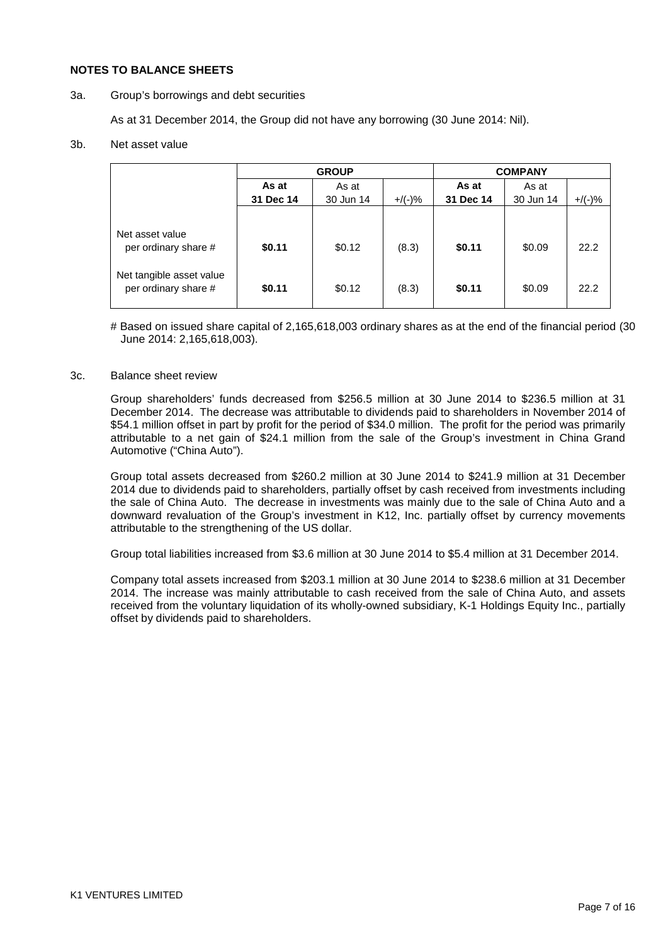#### **NOTES TO BALANCE SHEETS**

3a. Group's borrowings and debt securities

As at 31 December 2014, the Group did not have any borrowing (30 June 2014: Nil).

#### 3b. Net asset value

|                                                  |           | <b>GROUP</b> | <b>COMPANY</b> |           |           |           |
|--------------------------------------------------|-----------|--------------|----------------|-----------|-----------|-----------|
|                                                  | As at     | As at        |                | As at     | As at     |           |
|                                                  | 31 Dec 14 | 30 Jun 14    | $+$ /(-)%      | 31 Dec 14 | 30 Jun 14 | $+$ /(-)% |
|                                                  |           |              |                |           |           |           |
| Net asset value<br>per ordinary share #          | \$0.11    | \$0.12       | (8.3)          | \$0.11    | \$0.09    | 22.2      |
| Net tangible asset value<br>per ordinary share # | \$0.11    | \$0.12       | (8.3)          | \$0.11    | \$0.09    | 22.2      |

# Based on issued share capital of 2,165,618,003 ordinary shares as at the end of the financial period (30 June 2014: 2,165,618,003).

### 3c. Balance sheet review

Group shareholders' funds decreased from \$256.5 million at 30 June 2014 to \$236.5 million at 31 December 2014. The decrease was attributable to dividends paid to shareholders in November 2014 of \$54.1 million offset in part by profit for the period of \$34.0 million. The profit for the period was primarily attributable to a net gain of \$24.1 million from the sale of the Group's investment in China Grand Automotive ("China Auto").

Group total assets decreased from \$260.2 million at 30 June 2014 to \$241.9 million at 31 December 2014 due to dividends paid to shareholders, partially offset by cash received from investments including the sale of China Auto. The decrease in investments was mainly due to the sale of China Auto and a downward revaluation of the Group's investment in K12, Inc. partially offset by currency movements attributable to the strengthening of the US dollar.

Group total liabilities increased from \$3.6 million at 30 June 2014 to \$5.4 million at 31 December 2014.

Company total assets increased from \$203.1 million at 30 June 2014 to \$238.6 million at 31 December 2014. The increase was mainly attributable to cash received from the sale of China Auto, and assets received from the voluntary liquidation of its wholly-owned subsidiary, K-1 Holdings Equity Inc., partially offset by dividends paid to shareholders.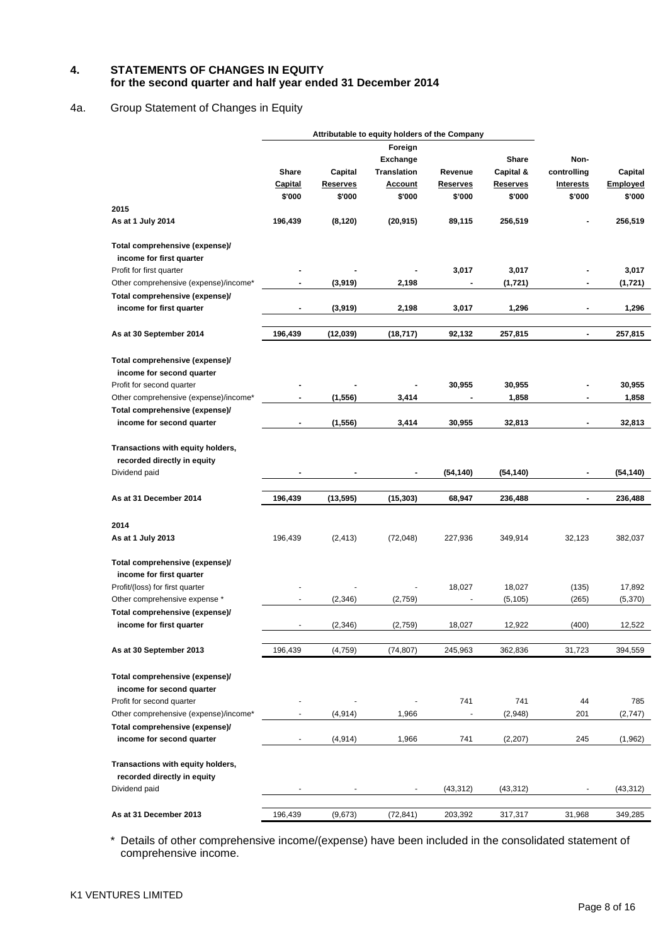### **4. STATEMENTS OF CHANGES IN EQUITY for the second quarter and half year ended 31 December 2014**

### 4a. Group Statement of Changes in Equity

|                                       |                | Attributable to equity holders of the Company |                    |                          |                 |                          |                 |
|---------------------------------------|----------------|-----------------------------------------------|--------------------|--------------------------|-----------------|--------------------------|-----------------|
|                                       |                |                                               | Foreign            |                          |                 |                          |                 |
|                                       |                |                                               | <b>Exchange</b>    |                          | Share           | Non-                     |                 |
|                                       | <b>Share</b>   | Capital                                       | <b>Translation</b> | Revenue                  | Capital &       | controlling              | Capital         |
|                                       | <b>Capital</b> | <b>Reserves</b>                               | <b>Account</b>     | <u>Reserves</u>          | <b>Reserves</b> | <b>Interests</b>         | <b>Employed</b> |
|                                       | \$'000         | \$'000                                        | \$'000             | \$'000                   | \$'000          | \$'000                   | \$'000          |
| 2015                                  |                |                                               |                    |                          |                 |                          |                 |
| As at 1 July 2014                     | 196,439        | (8, 120)                                      | (20, 915)          | 89,115                   | 256,519         |                          | 256,519         |
| Total comprehensive (expense)/        |                |                                               |                    |                          |                 |                          |                 |
| income for first quarter              |                |                                               |                    |                          |                 |                          |                 |
| Profit for first quarter              |                |                                               |                    | 3,017                    | 3,017           |                          | 3,017           |
| Other comprehensive (expense)/income* |                | (3,919)                                       | 2,198              |                          | (1,721)         | ۰                        | (1,721)         |
| Total comprehensive (expense)/        |                |                                               |                    |                          |                 |                          |                 |
| income for first quarter              |                | (3,919)                                       | 2,198              | 3,017                    | 1,296           | -                        | 1,296           |
| As at 30 September 2014               | 196,439        | (12,039)                                      | (18, 717)          | 92,132                   | 257,815         | $\overline{\phantom{a}}$ | 257,815         |
| Total comprehensive (expense)/        |                |                                               |                    |                          |                 |                          |                 |
| income for second quarter             |                |                                               |                    |                          |                 |                          |                 |
| Profit for second quarter             |                |                                               |                    | 30,955                   | 30,955          | $\blacksquare$           | 30,955          |
| Other comprehensive (expense)/income* |                | (1, 556)                                      | 3,414              | $\blacksquare$           | 1,858           | -                        | 1,858           |
| Total comprehensive (expense)/        |                |                                               |                    |                          |                 |                          |                 |
| income for second quarter             |                | (1, 556)                                      | 3,414              | 30,955                   | 32,813          | -                        | 32,813          |
| Transactions with equity holders,     |                |                                               |                    |                          |                 |                          |                 |
| recorded directly in equity           |                |                                               |                    |                          |                 |                          |                 |
| Dividend paid                         |                |                                               |                    | (54, 140)                | (54, 140)       | $\blacksquare$           | (54,140)        |
|                                       |                |                                               |                    |                          |                 |                          |                 |
| As at 31 December 2014                | 196,439        | (13, 595)                                     | (15, 303)          | 68,947                   | 236,488         | $\overline{\phantom{a}}$ | 236,488         |
| 2014                                  |                |                                               |                    |                          |                 |                          |                 |
| As at 1 July 2013                     | 196,439        | (2, 413)                                      | (72, 048)          | 227,936                  | 349,914         | 32,123                   | 382,037         |
| Total comprehensive (expense)/        |                |                                               |                    |                          |                 |                          |                 |
| income for first quarter              |                |                                               |                    |                          |                 |                          |                 |
| Profit/(loss) for first quarter       |                |                                               |                    | 18,027                   | 18,027          | (135)                    | 17,892          |
| Other comprehensive expense *         |                | (2, 346)                                      | (2,759)            | $\overline{\phantom{a}}$ | (5, 105)        | (265)                    | (5,370)         |
| Total comprehensive (expense)/        |                |                                               |                    |                          |                 |                          |                 |
| income for first quarter              |                | (2, 346)                                      | (2,759)            | 18,027                   | 12,922          | (400)                    | 12,522          |
| As at 30 September 2013               | 196,439        | (4, 759)                                      | (74, 807)          | 245,963                  | 362,836         | 31,723                   | 394,559         |
|                                       |                |                                               |                    |                          |                 |                          |                 |
| Total comprehensive (expense)/        |                |                                               |                    |                          |                 |                          |                 |
| income for second quarter             |                |                                               |                    |                          |                 |                          |                 |
| Profit for second quarter             |                |                                               |                    | 741                      | 741             | 44                       | 785             |
| Other comprehensive (expense)/income* |                | (4, 914)                                      | 1,966              | $\overline{\phantom{a}}$ | (2,948)         | 201                      | (2,747)         |
| Total comprehensive (expense)/        |                |                                               |                    |                          |                 |                          |                 |
| income for second quarter             |                | (4, 914)                                      | 1,966              | 741                      | (2, 207)        | 245                      | (1,962)         |
|                                       |                |                                               |                    |                          |                 |                          |                 |
| Transactions with equity holders,     |                |                                               |                    |                          |                 |                          |                 |
| recorded directly in equity           |                |                                               |                    |                          |                 |                          |                 |
| Dividend paid                         |                |                                               |                    | (43, 312)                | (43, 312)       | $\overline{\phantom{a}}$ | (43, 312)       |
| As at 31 December 2013                | 196,439        | (9,673)                                       | (72, 841)          | 203,392                  | 317,317         | 31,968                   | 349,285         |

\* Details of other comprehensive income/(expense) have been included in the consolidated statement of comprehensive income.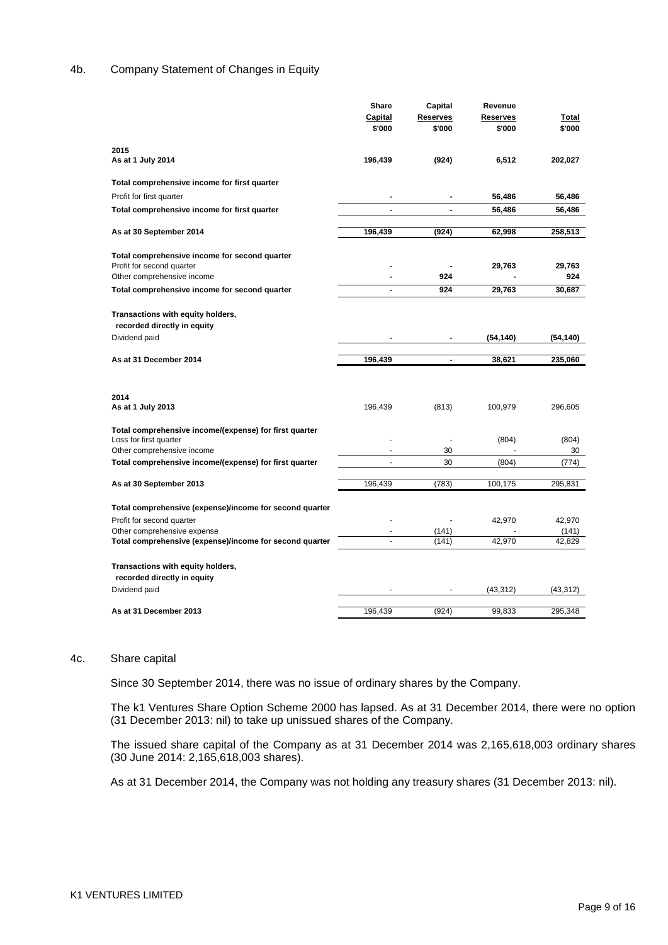### 4b. Company Statement of Changes in Equity

|                                                         | Share                    | Capital         | Revenue   |           |
|---------------------------------------------------------|--------------------------|-----------------|-----------|-----------|
|                                                         | Capital                  | <b>Reserves</b> | Reserves  | Total     |
|                                                         | \$'000                   | \$'000          | \$'000    | \$'000    |
| 2015                                                    |                          |                 |           |           |
| As at 1 July 2014                                       | 196,439                  | (924)           | 6,512     | 202,027   |
| Total comprehensive income for first quarter            |                          |                 |           |           |
| Profit for first quarter                                |                          |                 | 56,486    | 56,486    |
| Total comprehensive income for first quarter            | $\blacksquare$           | $\blacksquare$  | 56,486    | 56,486    |
|                                                         |                          |                 |           |           |
| As at 30 September 2014                                 | 196,439                  | (924)           | 62,998    | 258,513   |
| Total comprehensive income for second quarter           |                          |                 |           |           |
| Profit for second quarter                               |                          |                 | 29,763    | 29,763    |
| Other comprehensive income                              |                          | 924             |           | 924       |
| Total comprehensive income for second quarter           | $\blacksquare$           | 924             | 29,763    | 30,687    |
| Transactions with equity holders,                       |                          |                 |           |           |
| recorded directly in equity                             |                          |                 |           |           |
| Dividend paid                                           |                          | $\blacksquare$  | (54, 140) | (54, 140) |
|                                                         |                          |                 |           |           |
| As at 31 December 2014                                  | 196,439                  | $\overline{a}$  | 38,621    | 235,060   |
|                                                         |                          |                 |           |           |
| 2014                                                    |                          |                 |           |           |
| As at 1 July 2013                                       | 196,439                  | (813)           | 100,979   | 296,605   |
| Total comprehensive income/(expense) for first quarter  |                          |                 |           |           |
| Loss for first quarter                                  |                          | ä,              | (804)     | (804)     |
| Other comprehensive income                              |                          | 30              |           | 30        |
| Total comprehensive income/(expense) for first quarter  | $\blacksquare$           | 30              | (804)     | (774)     |
| As at 30 September 2013                                 | 196,439                  | (783)           | 100,175   | 295,831   |
| Total comprehensive (expense)/income for second quarter |                          |                 |           |           |
| Profit for second quarter                               |                          |                 | 42,970    | 42,970    |
| Other comprehensive expense                             | $\overline{\phantom{a}}$ | (141)           |           | (141)     |
| Total comprehensive (expense)/income for second quarter |                          | (141)           | 42,970    | 42,829    |
|                                                         |                          |                 |           |           |
| Transactions with equity holders,                       |                          |                 |           |           |
| recorded directly in equity                             |                          |                 |           |           |
| Dividend paid                                           |                          |                 | (43,312)  | (43, 312) |
| As at 31 December 2013                                  | 196,439                  | (924)           | 99,833    | 295,348   |
|                                                         |                          |                 |           |           |

#### 4c. Share capital

Since 30 September 2014, there was no issue of ordinary shares by the Company.

The k1 Ventures Share Option Scheme 2000 has lapsed. As at 31 December 2014, there were no option (31 December 2013: nil) to take up unissued shares of the Company.

The issued share capital of the Company as at 31 December 2014 was 2,165,618,003 ordinary shares (30 June 2014: 2,165,618,003 shares).

As at 31 December 2014, the Company was not holding any treasury shares (31 December 2013: nil).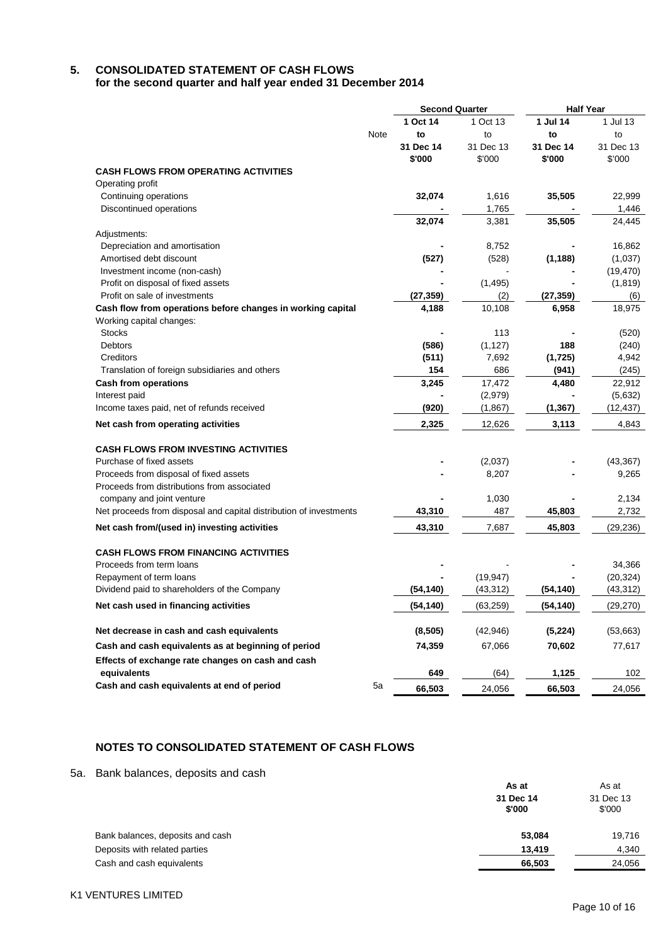# **5. CONSOLIDATED STATEMENT OF CASH FLOWS**

**for the second quarter and half year ended 31 December 2014**

|                                                                    |      | <b>Second Quarter</b> |           | <b>Half Year</b> |           |
|--------------------------------------------------------------------|------|-----------------------|-----------|------------------|-----------|
|                                                                    |      | 1 Oct 14              | 1 Oct 13  | 1 Jul 14         | 1 Jul 13  |
|                                                                    | Note | to                    | to        | to               | to        |
|                                                                    |      | 31 Dec 14             | 31 Dec 13 | 31 Dec 14        | 31 Dec 13 |
|                                                                    |      | \$'000                | \$'000    | \$'000           | \$'000    |
| CASH FLOWS FROM OPERATING ACTIVITIES                               |      |                       |           |                  |           |
| Operating profit                                                   |      |                       |           |                  |           |
| Continuing operations                                              |      | 32,074                | 1,616     | 35,505           | 22,999    |
| Discontinued operations                                            |      |                       | 1,765     |                  | 1,446     |
|                                                                    |      | 32,074                | 3,381     | 35,505           | 24,445    |
| Adjustments:                                                       |      |                       |           |                  |           |
| Depreciation and amortisation                                      |      |                       | 8,752     |                  | 16,862    |
| Amortised debt discount                                            |      | (527)                 | (528)     | (1, 188)         | (1,037)   |
| Investment income (non-cash)                                       |      |                       |           |                  | (19, 470) |
| Profit on disposal of fixed assets                                 |      |                       | (1, 495)  |                  | (1, 819)  |
| Profit on sale of investments                                      |      | (27, 359)             | (2)       | (27, 359)        | (6)       |
| Cash flow from operations before changes in working capital        |      | 4,188                 | 10,108    | 6,958            | 18,975    |
| Working capital changes:                                           |      |                       |           |                  |           |
| <b>Stocks</b>                                                      |      |                       | 113       |                  | (520)     |
| <b>Debtors</b>                                                     |      | (586)                 | (1, 127)  | 188              | (240)     |
| Creditors                                                          |      | (511)                 | 7,692     | (1, 725)         | 4,942     |
| Translation of foreign subsidiaries and others                     |      | 154                   | 686       | (941)            | (245)     |
| <b>Cash from operations</b>                                        |      | 3,245                 | 17,472    | 4,480            | 22,912    |
| Interest paid                                                      |      |                       | (2,979)   |                  | (5,632)   |
| Income taxes paid, net of refunds received                         |      | (920)                 | (1,867)   | (1, 367)         | (12, 437) |
| Net cash from operating activities                                 |      | 2,325                 | 12,626    | 3,113            | 4,843     |
| <b>CASH FLOWS FROM INVESTING ACTIVITIES</b>                        |      |                       |           |                  |           |
| Purchase of fixed assets                                           |      |                       | (2,037)   |                  | (43, 367) |
| Proceeds from disposal of fixed assets                             |      |                       | 8,207     |                  | 9,265     |
| Proceeds from distributions from associated                        |      |                       |           |                  |           |
| company and joint venture                                          |      |                       | 1,030     |                  | 2,134     |
| Net proceeds from disposal and capital distribution of investments |      | 43,310                | 487       | 45,803           | 2,732     |
| Net cash from/(used in) investing activities                       |      | 43,310                | 7,687     | 45,803           | (29, 236) |
| <b>CASH FLOWS FROM FINANCING ACTIVITIES</b>                        |      |                       |           |                  |           |
| Proceeds from term loans                                           |      |                       |           |                  | 34,366    |
| Repayment of term loans                                            |      |                       | (19, 947) |                  | (20, 324) |
| Dividend paid to shareholders of the Company                       |      | (54, 140)             | (43, 312) | (54, 140)        | (43, 312) |
|                                                                    |      |                       |           |                  |           |
| Net cash used in financing activities                              |      | (54, 140)             | (63, 259) | (54, 140)        | (29, 270) |
| Net decrease in cash and cash equivalents                          |      | (8, 505)              | (42, 946) | (5, 224)         | (53,663)  |
| Cash and cash equivalents as at beginning of period                |      | 74,359                | 67,066    | 70,602           | 77,617    |
| Effects of exchange rate changes on cash and cash                  |      |                       |           |                  |           |
| equivalents                                                        |      | 649                   | (64)      | 1,125            | 102       |
| Cash and cash equivalents at end of period                         | 5a   | 66,503                | 24,056    | 66,503           | 24,056    |

## **NOTES TO CONSOLIDATED STATEMENT OF CASH FLOWS**

5a. Bank balances, deposits and cash

|                                  | As at               | As at<br>31 Dec 13<br>\$'000 |  |
|----------------------------------|---------------------|------------------------------|--|
|                                  | 31 Dec 14<br>\$'000 |                              |  |
| Bank balances, deposits and cash | 53,084              | 19,716                       |  |
| Deposits with related parties    | 13.419              | 4.340                        |  |
| Cash and cash equivalents        | 66,503              | 24,056                       |  |
|                                  |                     |                              |  |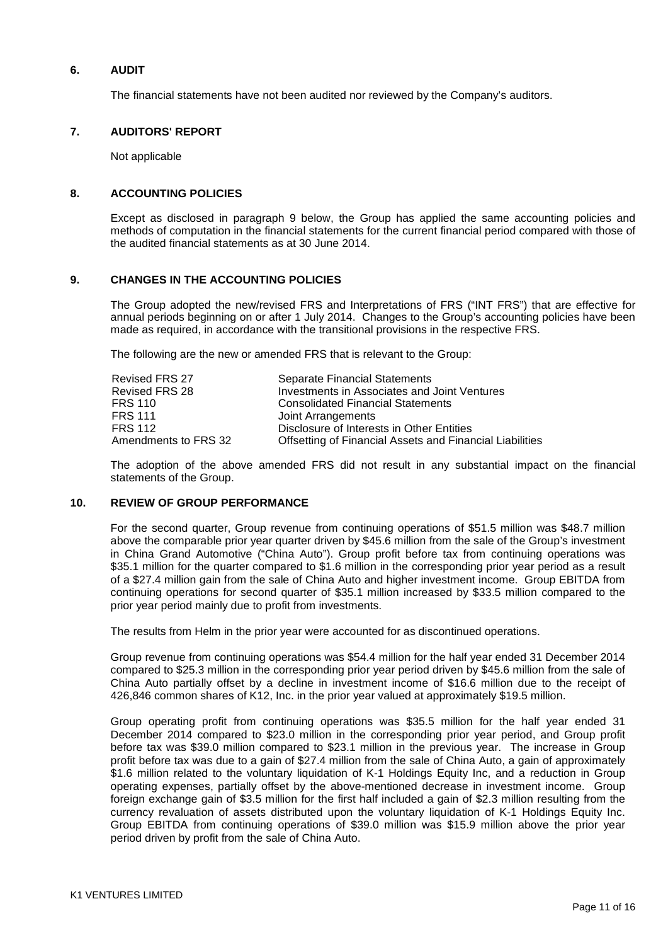### **6. AUDIT**

The financial statements have not been audited nor reviewed by the Company's auditors.

### **7. AUDITORS' REPORT**

Not applicable

### **8. ACCOUNTING POLICIES**

Except as disclosed in paragraph 9 below, the Group has applied the same accounting policies and methods of computation in the financial statements for the current financial period compared with those of the audited financial statements as at 30 June 2014.

### **9. CHANGES IN THE ACCOUNTING POLICIES**

The Group adopted the new/revised FRS and Interpretations of FRS ("INT FRS") that are effective for annual periods beginning on or after 1 July 2014. Changes to the Group's accounting policies have been made as required, in accordance with the transitional provisions in the respective FRS.

The following are the new or amended FRS that is relevant to the Group:

| <b>Revised FRS 27</b> | Separate Financial Statements                            |
|-----------------------|----------------------------------------------------------|
| Revised FRS 28        | Investments in Associates and Joint Ventures             |
| <b>FRS 110</b>        | <b>Consolidated Financial Statements</b>                 |
| <b>FRS 111</b>        | Joint Arrangements                                       |
| FRS 112               | Disclosure of Interests in Other Entities                |
| Amendments to FRS 32  | Offsetting of Financial Assets and Financial Liabilities |

The adoption of the above amended FRS did not result in any substantial impact on the financial statements of the Group.

### **10. REVIEW OF GROUP PERFORMANCE**

For the second quarter, Group revenue from continuing operations of \$51.5 million was \$48.7 million above the comparable prior year quarter driven by \$45.6 million from the sale of the Group's investment in China Grand Automotive ("China Auto"). Group profit before tax from continuing operations was \$35.1 million for the quarter compared to \$1.6 million in the corresponding prior year period as a result of a \$27.4 million gain from the sale of China Auto and higher investment income. Group EBITDA from continuing operations for second quarter of \$35.1 million increased by \$33.5 million compared to the prior year period mainly due to profit from investments.

The results from Helm in the prior year were accounted for as discontinued operations.

Group revenue from continuing operations was \$54.4 million for the half year ended 31 December 2014 compared to \$25.3 million in the corresponding prior year period driven by \$45.6 million from the sale of China Auto partially offset by a decline in investment income of \$16.6 million due to the receipt of 426,846 common shares of K12, Inc. in the prior year valued at approximately \$19.5 million.

Group operating profit from continuing operations was \$35.5 million for the half year ended 31 December 2014 compared to \$23.0 million in the corresponding prior year period, and Group profit before tax was \$39.0 million compared to \$23.1 million in the previous year. The increase in Group profit before tax was due to a gain of \$27.4 million from the sale of China Auto, a gain of approximately \$1.6 million related to the voluntary liquidation of K-1 Holdings Equity Inc, and a reduction in Group operating expenses, partially offset by the above-mentioned decrease in investment income. Group foreign exchange gain of \$3.5 million for the first half included a gain of \$2.3 million resulting from the currency revaluation of assets distributed upon the voluntary liquidation of K-1 Holdings Equity Inc. Group EBITDA from continuing operations of \$39.0 million was \$15.9 million above the prior year period driven by profit from the sale of China Auto.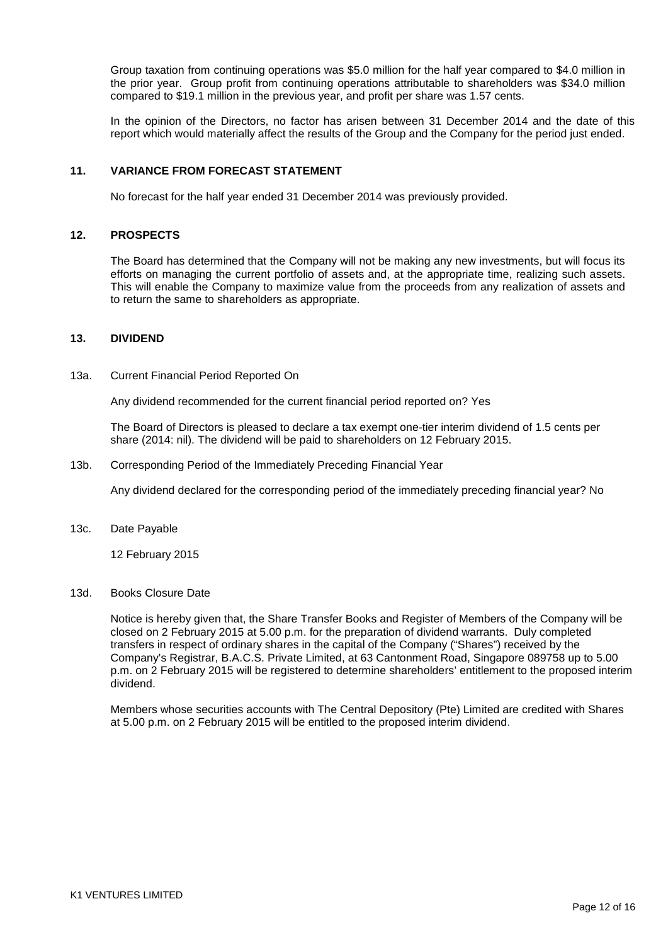Group taxation from continuing operations was \$5.0 million for the half year compared to \$4.0 million in the prior year. Group profit from continuing operations attributable to shareholders was \$34.0 million compared to \$19.1 million in the previous year, and profit per share was 1.57 cents.

In the opinion of the Directors, no factor has arisen between 31 December 2014 and the date of this report which would materially affect the results of the Group and the Company for the period just ended.

### **11. VARIANCE FROM FORECAST STATEMENT**

No forecast for the half year ended 31 December 2014 was previously provided.

### **12. PROSPECTS**

The Board has determined that the Company will not be making any new investments, but will focus its efforts on managing the current portfolio of assets and, at the appropriate time, realizing such assets. This will enable the Company to maximize value from the proceeds from any realization of assets and to return the same to shareholders as appropriate.

#### **13. DIVIDEND**

13a. Current Financial Period Reported On

Any dividend recommended for the current financial period reported on? Yes

The Board of Directors is pleased to declare a tax exempt one-tier interim dividend of 1.5 cents per share (2014: nil). The dividend will be paid to shareholders on 12 February 2015.

13b. Corresponding Period of the Immediately Preceding Financial Year

Any dividend declared for the corresponding period of the immediately preceding financial year? No

13c. Date Payable

12 February 2015

#### 13d. Books Closure Date

Notice is hereby given that, the Share Transfer Books and Register of Members of the Company will be closed on 2 February 2015 at 5.00 p.m. for the preparation of dividend warrants. Duly completed transfers in respect of ordinary shares in the capital of the Company ("Shares") received by the Company's Registrar, B.A.C.S. Private Limited, at 63 Cantonment Road, Singapore 089758 up to 5.00 p.m. on 2 February 2015 will be registered to determine shareholders' entitlement to the proposed interim dividend.

Members whose securities accounts with The Central Depository (Pte) Limited are credited with Shares at 5.00 p.m. on 2 February 2015 will be entitled to the proposed interim dividend.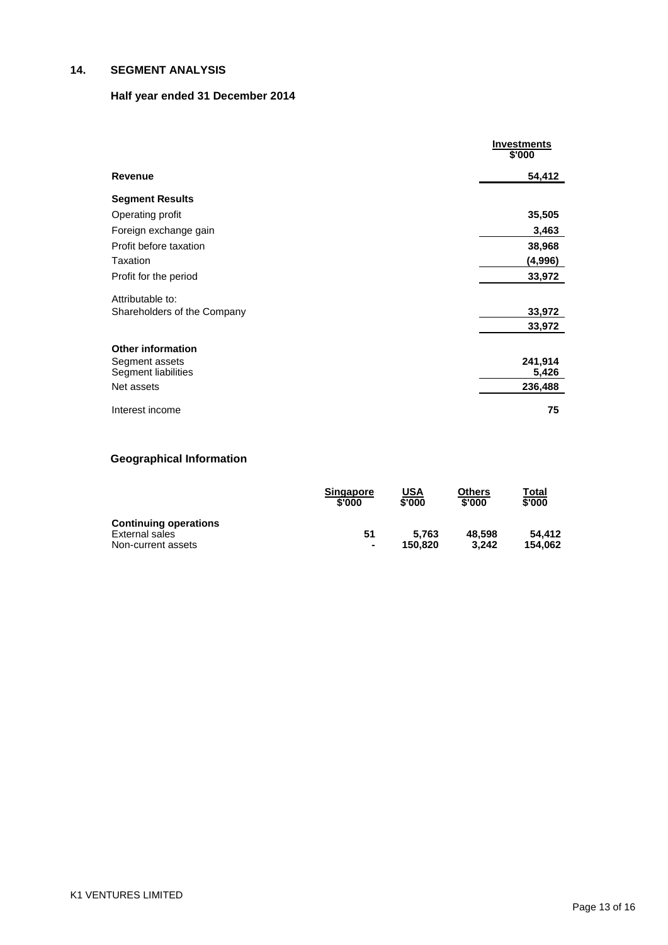## **14. SEGMENT ANALYSIS**

# **Half year ended 31 December 2014**

|                             | <b>Investments</b><br>\$'000 |
|-----------------------------|------------------------------|
| <b>Revenue</b>              | 54,412                       |
| <b>Segment Results</b>      |                              |
| Operating profit            | 35,505                       |
| Foreign exchange gain       | 3,463                        |
| Profit before taxation      | 38,968                       |
| <b>Taxation</b>             | (4,996)                      |
| Profit for the period       | 33,972                       |
| Attributable to:            |                              |
| Shareholders of the Company | 33,972                       |
|                             | 33,972                       |
| <b>Other information</b>    |                              |
| Segment assets              | 241,914                      |
| Segment liabilities         | 5,426                        |
| Net assets                  | 236,488                      |
| Interest income             | 75                           |

# **Geographical Information**

|                                                                      | <b>Singapore</b>     | USA              | <b>Others</b>   | Total             |
|----------------------------------------------------------------------|----------------------|------------------|-----------------|-------------------|
|                                                                      | \$'000               | \$'000           | \$'000          | \$'000            |
| <b>Continuing operations</b><br>External sales<br>Non-current assets | 51<br>$\blacksquare$ | 5.763<br>150.820 | 48.598<br>3.242 | 54.412<br>154.062 |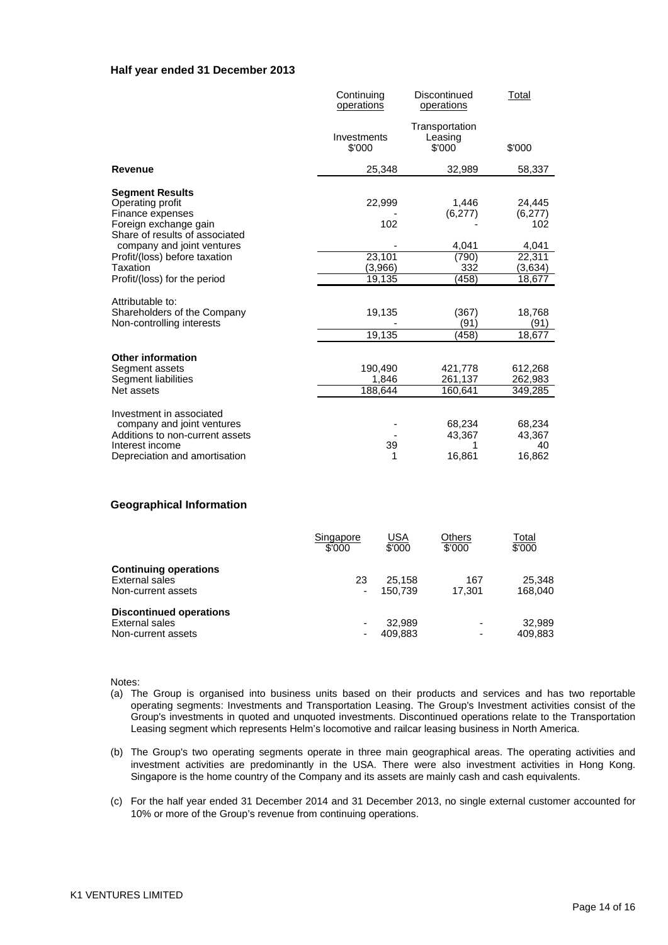#### **Half year ended 31 December 2013**

|                                                                                                                                               | Continuing<br>operations    | Discontinued<br>operations          | Total                            |
|-----------------------------------------------------------------------------------------------------------------------------------------------|-----------------------------|-------------------------------------|----------------------------------|
|                                                                                                                                               | Investments<br>\$'000       | Transportation<br>Leasing<br>\$'000 | \$'000                           |
| <b>Revenue</b>                                                                                                                                | 25,348                      | 32,989                              | 58,337                           |
| <b>Segment Results</b><br>Operating profit<br>Finance expenses<br>Foreign exchange gain<br>Share of results of associated                     | 22,999<br>102               | 1,446<br>(6,277)                    | 24,445<br>(6,277)<br>102         |
| company and joint ventures                                                                                                                    |                             | 4,041                               | 4,041                            |
| Profit/(loss) before taxation<br>Taxation                                                                                                     | 23,101<br>(3,966)           | (790)<br>332                        | 22,311<br>(3,634)                |
| Profit/(loss) for the period                                                                                                                  | 19,135                      | (458)                               | 18,677                           |
| Attributable to:<br>Shareholders of the Company<br>Non-controlling interests                                                                  | 19,135<br>19,135            | (367)<br>(91)<br>(458)              | 18,768<br>(91)<br>18,677         |
|                                                                                                                                               |                             |                                     |                                  |
| <b>Other information</b><br>Segment assets<br>Segment liabilities<br>Net assets                                                               | 190.490<br>1,846<br>188,644 | 421.778<br>261,137<br>160,641       | 612,268<br>262,983<br>349,285    |
| Investment in associated<br>company and joint ventures<br>Additions to non-current assets<br>Interest income<br>Depreciation and amortisation | 39<br>1                     | 68,234<br>43,367<br>16,861          | 68,234<br>43,367<br>40<br>16,862 |

#### **Geographical Information**

|                                | Singapore<br>\$'000 | <u>USA</u><br>\$'000 | Others<br>\$'000 | Total<br>\$'000 |
|--------------------------------|---------------------|----------------------|------------------|-----------------|
| <b>Continuing operations</b>   |                     |                      |                  |                 |
| External sales                 | 23                  | 25.158               | 167              | 25.348          |
| Non-current assets             | ۰                   | 150.739              | 17.301           | 168.040         |
| <b>Discontinued operations</b> |                     |                      |                  |                 |
| External sales                 |                     | 32.989               | ٠                | 32.989          |
| Non-current assets             |                     | 409.883              | ٠                | 409.883         |

Notes:

- (a) The Group is organised into business units based on their products and services and has two reportable operating segments: Investments and Transportation Leasing. The Group's Investment activities consist of the Group's investments in quoted and unquoted investments. Discontinued operations relate to the Transportation Leasing segment which represents Helm's locomotive and railcar leasing business in North America.
- (b) The Group's two operating segments operate in three main geographical areas. The operating activities and investment activities are predominantly in the USA. There were also investment activities in Hong Kong. Singapore is the home country of the Company and its assets are mainly cash and cash equivalents.
- (c) For the half year ended 31 December 2014 and 31 December 2013, no single external customer accounted for 10% or more of the Group's revenue from continuing operations.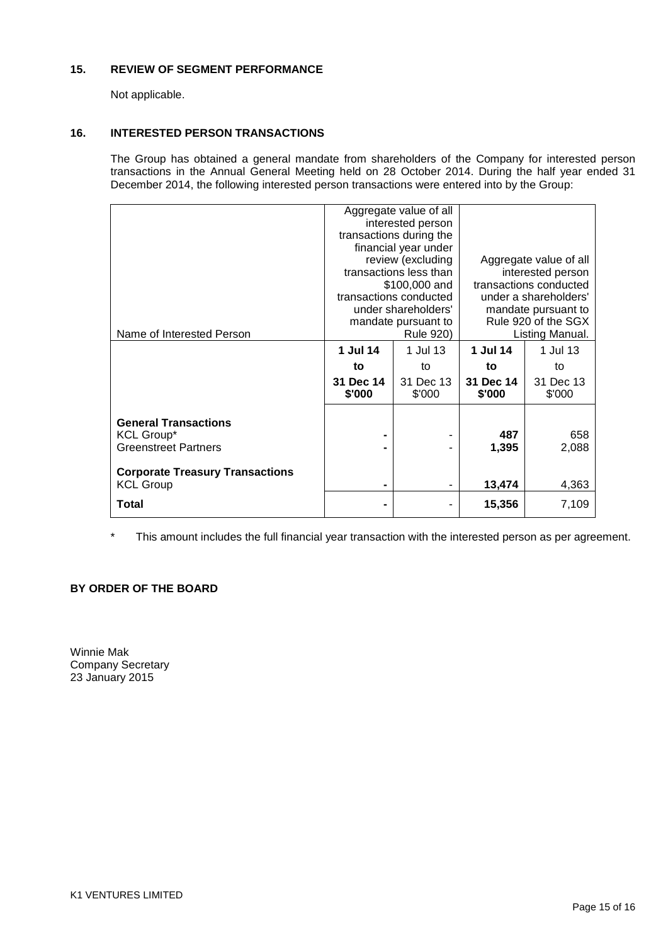### **15. REVIEW OF SEGMENT PERFORMANCE**

Not applicable.

### **16. INTERESTED PERSON TRANSACTIONS**

The Group has obtained a general mandate from shareholders of the Company for interested person transactions in the Annual General Meeting held on 28 October 2014. During the half year ended 31 December 2014, the following interested person transactions were entered into by the Group:

|                                        |           | Aggregate value of all  |                        |                       |  |
|----------------------------------------|-----------|-------------------------|------------------------|-----------------------|--|
|                                        |           | interested person       |                        |                       |  |
|                                        |           | transactions during the |                        |                       |  |
|                                        |           | financial year under    |                        |                       |  |
|                                        |           | review (excluding       | Aggregate value of all |                       |  |
|                                        |           | transactions less than  | interested person      |                       |  |
|                                        |           | \$100,000 and           | transactions conducted |                       |  |
|                                        |           | transactions conducted  |                        | under a shareholders' |  |
|                                        |           | under shareholders'     | mandate pursuant to    |                       |  |
|                                        |           | mandate pursuant to     | Rule 920 of the SGX    |                       |  |
| Name of Interested Person              |           | Rule 920)               | Listing Manual.        |                       |  |
|                                        | 1 Jul 14  | 1 Jul 13                | 1 Jul 14               | 1 Jul 13              |  |
|                                        | to        | to                      | to                     | to                    |  |
|                                        | 31 Dec 14 | 31 Dec 13               | 31 Dec 14              | 31 Dec 13             |  |
|                                        | \$'000    | \$'000                  | \$'000                 | \$'000                |  |
|                                        |           |                         |                        |                       |  |
| <b>General Transactions</b>            |           |                         |                        |                       |  |
| <b>KCL Group*</b>                      |           |                         | 487                    | 658                   |  |
| <b>Greenstreet Partners</b>            |           |                         | 1,395                  | 2,088                 |  |
|                                        |           |                         |                        |                       |  |
| <b>Corporate Treasury Transactions</b> |           |                         |                        |                       |  |
| <b>KCL Group</b>                       | -         |                         | 13,474                 | 4,363                 |  |
| Total                                  |           |                         | 15,356                 | 7,109                 |  |
|                                        |           |                         |                        |                       |  |

\* This amount includes the full financial year transaction with the interested person as per agreement.

## **BY ORDER OF THE BOARD**

Winnie Mak Company Secretary 23 January 2015